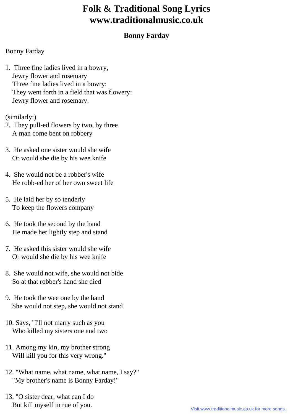## **Folk & Traditional Song Lyrics www.traditionalmusic.co.uk**

## **Bonny Farday**

## Bonny Farday

1. Three fine ladies lived in a bowry, Jewry flower and rosemary Three fine ladies lived in a bowry: They went forth in a field that was flowery: Jewry flower and rosemary.

(similarly:)

- 2. They pull-ed flowers by two, by three A man come bent on robbery
- 3. He asked one sister would she wife Or would she die by his wee knife
- 4. She would not be a robber's wife He robb-ed her of her own sweet life
- 5. He laid her by so tenderly To keep the flowers company
- 6. He took the second by the hand He made her lightly step and stand
- 7. He asked this sister would she wife Or would she die by his wee knife
- 8. She would not wife, she would not bide So at that robber's hand she died
- 9. He took the wee one by the hand She would not step, she would not stand
- 10. Says, "I'll not marry such as you Who killed my sisters one and two
- 11. Among my kin, my brother strong Will kill you for this very wrong."
- 12. "What name, what name, what name, I say?" "My brother's name is Bonny Farday!"
- 13. "O sister dear, what can I do But kill myself in rue of you.